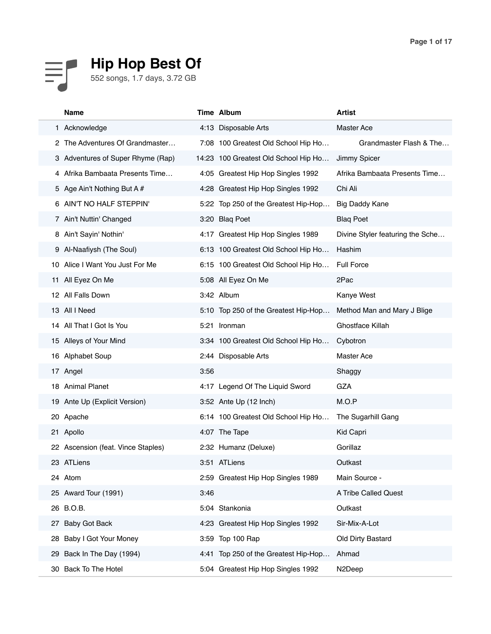

|    | <b>Name</b>                        |      | Time Album                           | <b>Artist</b>                    |
|----|------------------------------------|------|--------------------------------------|----------------------------------|
|    | 1 Acknowledge                      |      | 4:13 Disposable Arts                 | <b>Master Ace</b>                |
|    | The Adventures Of Grandmaster      |      | 7:08 100 Greatest Old School Hip Ho  | Grandmaster Flash & The          |
|    | 3 Adventures of Super Rhyme (Rap)  |      | 14:23 100 Greatest Old School Hip Ho | Jimmy Spicer                     |
|    | 4 Afrika Bambaata Presents Time    |      | 4:05 Greatest Hip Hop Singles 1992   | Afrika Bambaata Presents Time    |
|    | 5 Age Ain't Nothing But A #        |      | 4:28 Greatest Hip Hop Singles 1992   | Chi Ali                          |
|    | 6 AIN'T NO HALF STEPPIN'           |      | 5:22 Top 250 of the Greatest Hip-Hop | <b>Big Daddy Kane</b>            |
|    | 7 Ain't Nuttin' Changed            |      | 3:20 Blaq Poet                       | <b>Blaq Poet</b>                 |
|    | 8 Ain't Sayin' Nothin'             |      | 4:17 Greatest Hip Hop Singles 1989   | Divine Styler featuring the Sche |
|    | 9 Al-Naafiysh (The Soul)           |      | 6:13 100 Greatest Old School Hip Ho  | Hashim                           |
|    | 10 Alice I Want You Just For Me    |      | 6:15 100 Greatest Old School Hip Ho  | <b>Full Force</b>                |
|    | 11 All Eyez On Me                  |      | 5:08 All Eyez On Me                  | 2Pac                             |
|    | 12 All Falls Down                  |      | 3:42 Album                           | Kanye West                       |
|    | 13 All I Need                      |      | 5:10 Top 250 of the Greatest Hip-Hop | Method Man and Mary J Blige      |
|    | 14 All That I Got Is You           |      | 5:21 Ironman                         | Ghostface Killah                 |
|    | 15 Alleys of Your Mind             |      | 3:34 100 Greatest Old School Hip Ho  | Cybotron                         |
|    | 16 Alphabet Soup                   |      | 2:44 Disposable Arts                 | <b>Master Ace</b>                |
|    | 17 Angel                           | 3:56 |                                      | Shaggy                           |
|    | 18 Animal Planet                   |      | 4:17 Legend Of The Liquid Sword      | GZA                              |
|    | 19 Ante Up (Explicit Version)      |      | 3:52 Ante Up (12 Inch)               | M.O.P                            |
|    | 20 Apache                          |      | 6:14 100 Greatest Old School Hip Ho  | The Sugarhill Gang               |
|    | 21 Apollo                          |      | 4:07 The Tape                        | Kid Capri                        |
|    | 22 Ascension (feat. Vince Staples) |      | 2:32 Humanz (Deluxe)                 | Gorillaz                         |
|    | 23 ATLiens                         |      | 3:51 ATLiens                         | Outkast                          |
|    | 24 Atom                            |      | 2:59 Greatest Hip Hop Singles 1989   | Main Source -                    |
|    | 25 Award Tour (1991)               | 3:46 |                                      | A Tribe Called Quest             |
| 26 | B.O.B.                             |      | 5:04 Stankonia                       | Outkast                          |
| 27 | <b>Baby Got Back</b>               |      | 4:23 Greatest Hip Hop Singles 1992   | Sir-Mix-A-Lot                    |
| 28 | Baby I Got Your Money              |      | 3:59 Top 100 Rap                     | Old Dirty Bastard                |
| 29 | Back In The Day (1994)             |      | 4:41 Top 250 of the Greatest Hip-Hop | Ahmad                            |
| 30 | Back To The Hotel                  |      | 5:04 Greatest Hip Hop Singles 1992   | N <sub>2</sub> Deep              |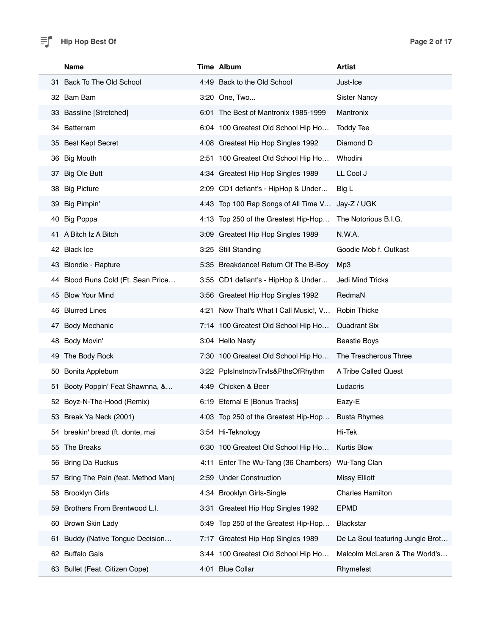|     | <b>Name</b>                        |      | Time Album                            | <b>Artist</b>                    |
|-----|------------------------------------|------|---------------------------------------|----------------------------------|
|     | 31 Back To The Old School          |      | 4:49 Back to the Old School           | Just-Ice                         |
|     | 32 Bam Bam                         |      | 3:20 One, Two                         | <b>Sister Nancy</b>              |
|     | 33 Bassline [Stretched]            |      | 6:01 The Best of Mantronix 1985-1999  | Mantronix                        |
|     | 34 Batterram                       |      | 6:04 100 Greatest Old School Hip Ho   | <b>Toddy Tee</b>                 |
|     | 35 Best Kept Secret                |      | 4:08 Greatest Hip Hop Singles 1992    | Diamond D                        |
|     | 36 Big Mouth                       |      | 2:51 100 Greatest Old School Hip Ho   | Whodini                          |
| 37  | <b>Big Ole Butt</b>                |      | 4:34 Greatest Hip Hop Singles 1989    | LL Cool J                        |
|     | 38 Big Picture                     |      | 2:09 CD1 defiant's - HipHop & Under   | Big L                            |
|     | 39 Big Pimpin'                     |      | 4:43 Top 100 Rap Songs of All Time V  | Jay-Z / UGK                      |
|     | 40 Big Poppa                       |      | 4:13 Top 250 of the Greatest Hip-Hop  | The Notorious B.I.G.             |
|     | 41 A Bitch Iz A Bitch              |      | 3:09 Greatest Hip Hop Singles 1989    | N.W.A.                           |
|     | 42 Black Ice                       |      | 3:25 Still Standing                   | Goodie Mob f. Outkast            |
|     | 43 Blondie - Rapture               |      | 5:35 Breakdance! Return Of The B-Boy  | Mp3                              |
|     | 44 Blood Runs Cold (Ft. Sean Price |      | 3:55 CD1 defiant's - HipHop & Under   | Jedi Mind Tricks                 |
|     | 45 Blow Your Mind                  |      | 3:56 Greatest Hip Hop Singles 1992    | RedmaN                           |
|     | 46 Blurred Lines                   |      | 4:21 Now That's What I Call Music!, V | Robin Thicke                     |
|     | 47 Body Mechanic                   |      | 7:14 100 Greatest Old School Hip Ho   | <b>Quadrant Six</b>              |
| 48  | Body Movin'                        |      | 3:04 Hello Nasty                      | <b>Beastie Boys</b>              |
|     | 49 The Body Rock                   |      | 7:30 100 Greatest Old School Hip Ho   | The Treacherous Three            |
|     | 50 Bonita Applebum                 |      | 3:22 PplsInstnctvTrvls&PthsOfRhythm   | A Tribe Called Quest             |
| 51. | Booty Poppin' Feat Shawnna, &      |      | 4:49 Chicken & Beer                   | Ludacris                         |
|     | 52 Boyz-N-The-Hood (Remix)         |      | 6:19 Eternal E [Bonus Tracks]         | Eazy-E                           |
| 53  | Break Ya Neck (2001)               |      | 4:03 Top 250 of the Greatest Hip-Hop  | Busta Rhymes                     |
|     | 54 breakin' bread (ft. donte, mai  |      | 3:54 Hi-Teknology                     | Hi-Tek                           |
|     | 55 The Breaks                      |      | 6:30 100 Greatest Old School Hip Ho   | <b>Kurtis Blow</b>               |
| 56  | <b>Bring Da Ruckus</b>             | 4:11 | Enter The Wu-Tang (36 Chambers)       | Wu-Tang Clan                     |
| 57  | Bring The Pain (feat. Method Man)  |      | 2:59 Under Construction               | <b>Missy Elliott</b>             |
| 58  | <b>Brooklyn Girls</b>              |      | 4:34 Brooklyn Girls-Single            | <b>Charles Hamilton</b>          |
| 59  | Brothers From Brentwood L.I.       | 3:31 | Greatest Hip Hop Singles 1992         | <b>EPMD</b>                      |
| 60  | Brown Skin Lady                    |      | 5:49 Top 250 of the Greatest Hip-Hop  | Blackstar                        |
| 61  | Buddy (Native Tongue Decision      | 7:17 | Greatest Hip Hop Singles 1989         | De La Soul featuring Jungle Brot |
|     | 62 Buffalo Gals                    |      | 3:44 100 Greatest Old School Hip Ho   | Malcolm McLaren & The World's    |
|     | 63 Bullet (Feat. Citizen Cope)     |      | 4:01 Blue Collar                      | Rhymefest                        |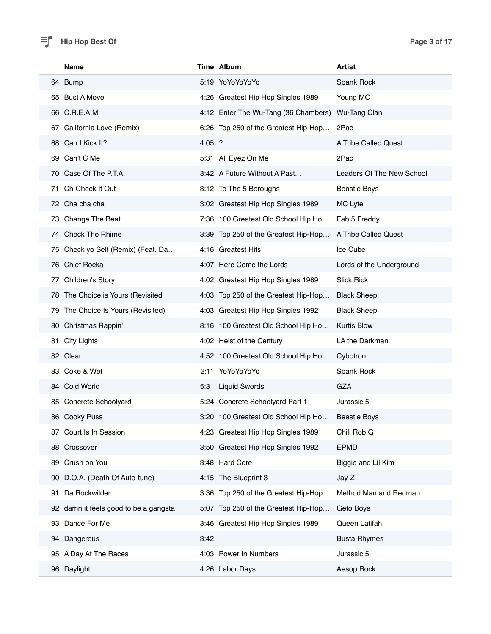|     | <b>Name</b>                           |          | Time Album                           | <b>Artist</b>             |
|-----|---------------------------------------|----------|--------------------------------------|---------------------------|
|     | 64 Bump                               |          | 5:19 YoYoYoYoYo                      | Spank Rock                |
|     | 65 Bust A Move                        |          | 4:26 Greatest Hip Hop Singles 1989   | Young MC                  |
|     | 66 C.R.E.A.M                          |          | 4:12 Enter The Wu-Tang (36 Chambers) | Wu-Tang Clan              |
|     | 67 California Love (Remix)            |          | 6:26 Top 250 of the Greatest Hip-Hop | 2Pac                      |
|     | 68 Can I Kick It?                     | $4:05$ ? |                                      | A Tribe Called Quest      |
|     | 69 Can't C Me                         |          | 5:31 All Eyez On Me                  | 2Pac                      |
|     | 70 Case Of The P.T.A.                 |          | 3:42 A Future Without A Past         | Leaders Of The New School |
| 71. | Ch-Check It Out                       |          | 3:12 To The 5 Boroughs               | <b>Beastie Boys</b>       |
|     | 72 Cha cha cha                        |          | 3:02 Greatest Hip Hop Singles 1989   | MC Lyte                   |
|     | 73 Change The Beat                    |          | 7:36 100 Greatest Old School Hip Ho  | Fab 5 Freddy              |
|     | 74 Check The Rhime                    |          | 3:39 Top 250 of the Greatest Hip-Hop | A Tribe Called Quest      |
|     | 75 Check yo Self (Remix) (Feat. Da    |          | 4:16 Greatest Hits                   | Ice Cube                  |
|     | 76 Chief Rocka                        |          | 4:07 Here Come the Lords             | Lords of the Underground  |
|     | 77 Children's Story                   |          | 4:02 Greatest Hip Hop Singles 1989   | <b>Slick Rick</b>         |
|     | 78 The Choice is Yours (Revisited     |          | 4:03 Top 250 of the Greatest Hip-Hop | <b>Black Sheep</b>        |
|     | 79 The Choice Is Yours (Revisited)    |          | 4:03 Greatest Hip Hop Singles 1992   | <b>Black Sheep</b>        |
|     | 80 Christmas Rappin'                  |          | 8:16 100 Greatest Old School Hip Ho  | <b>Kurtis Blow</b>        |
|     | 81 City Lights                        |          | 4:02 Heist of the Century            | LA the Darkman            |
|     | 82 Clear                              |          | 4:52 100 Greatest Old School Hip Ho  | Cybotron                  |
|     | 83 Coke & Wet                         |          | 2:11 YoYoYoYoYo                      | Spank Rock                |
|     | 84 Cold World                         |          | 5:31 Liquid Swords                   | GZA                       |
|     | 85 Concrete Schoolyard                |          | 5:24 Concrete Schoolyard Part 1      | Jurassic 5                |
|     | 86 Cooky Puss                         |          | 3:20 100 Greatest Old School Hip Ho  | <b>Beastie Boys</b>       |
|     | 87 Court Is In Session                |          | 4:23 Greatest Hip Hop Singles 1989   | Chill Rob G               |
|     | 88 Crossover                          |          | 3:50 Greatest Hip Hop Singles 1992   | <b>EPMD</b>               |
| 89  | Crush on You                          |          | 3:48 Hard Core                       | Biggie and Lil Kim        |
|     | 90 D.O.A. (Death Of Auto-tune)        |          | 4:15 The Blueprint 3                 | Jay-Z                     |
| 91  | Da Rockwilder                         |          | 3:36 Top 250 of the Greatest Hip-Hop | Method Man and Redman     |
|     | 92 damn it feels good to be a gangsta |          | 5:07 Top 250 of the Greatest Hip-Hop | Geto Boys                 |
| 93  | Dance For Me                          |          | 3:46 Greatest Hip Hop Singles 1989   | Queen Latifah             |
|     | 94 Dangerous                          | 3:42     |                                      | <b>Busta Rhymes</b>       |
| 95  | A Day At The Races                    |          | 4:03 Power In Numbers                | Jurassic 5                |
|     | 96 Daylight                           |          | 4:26 Labor Days                      | Aesop Rock                |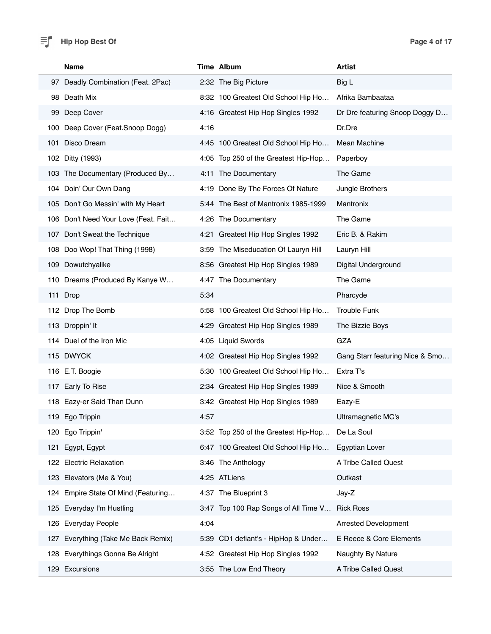|     | <b>Name</b>                          |      | Time Album                           | Artist                          |
|-----|--------------------------------------|------|--------------------------------------|---------------------------------|
|     | 97 Deadly Combination (Feat. 2Pac)   |      | 2:32 The Big Picture                 | Big L                           |
|     | 98 Death Mix                         |      | 8:32 100 Greatest Old School Hip Ho  | Afrika Bambaataa                |
| 99  | Deep Cover                           |      | 4:16 Greatest Hip Hop Singles 1992   | Dr Dre featuring Snoop Doggy D  |
| 100 | Deep Cover (Feat.Snoop Dogg)         | 4:16 |                                      | Dr.Dre                          |
| 101 | Disco Dream                          |      | 4:45 100 Greatest Old School Hip Ho  | Mean Machine                    |
|     | 102 Ditty (1993)                     |      | 4:05 Top 250 of the Greatest Hip-Hop | Paperboy                        |
|     | 103 The Documentary (Produced By     |      | 4:11 The Documentary                 | The Game                        |
| 104 | Doin' Our Own Dang                   |      | 4:19 Done By The Forces Of Nature    | Jungle Brothers                 |
|     | 105 Don't Go Messin' with My Heart   |      | 5:44 The Best of Mantronix 1985-1999 | Mantronix                       |
|     | 106 Don't Need Your Love (Feat. Fait |      | 4:26 The Documentary                 | The Game                        |
|     | 107 Don't Sweat the Technique        |      | 4:21 Greatest Hip Hop Singles 1992   | Eric B. & Rakim                 |
|     | 108 Doo Wop! That Thing (1998)       |      | 3:59 The Miseducation Of Lauryn Hill | Lauryn Hill                     |
|     | 109 Dowutchyalike                    |      | 8:56 Greatest Hip Hop Singles 1989   | Digital Underground             |
|     | 110 Dreams (Produced By Kanye W      |      | 4:47 The Documentary                 | The Game                        |
|     | 111 Drop                             | 5:34 |                                      | Pharcyde                        |
|     | 112 Drop The Bomb                    |      | 5:58 100 Greatest Old School Hip Ho  | <b>Trouble Funk</b>             |
|     | 113 Droppin' It                      |      | 4:29 Greatest Hip Hop Singles 1989   | The Bizzie Boys                 |
|     | 114 Duel of the Iron Mic             |      | 4:05 Liquid Swords                   | GZA                             |
|     | 115 DWYCK                            |      | 4:02 Greatest Hip Hop Singles 1992   | Gang Starr featuring Nice & Smo |
|     | 116 E.T. Boogie                      |      | 5:30 100 Greatest Old School Hip Ho  | Extra T's                       |
|     | 117 Early To Rise                    |      | 2:34 Greatest Hip Hop Singles 1989   | Nice & Smooth                   |
|     | 118 Eazy-er Said Than Dunn           |      | 3:42 Greatest Hip Hop Singles 1989   | Eazy-E                          |
|     | 119 Ego Trippin                      | 4:57 |                                      | Ultramagnetic MC's              |
|     | 120 Ego Trippin'                     |      | 3:52 Top 250 of the Greatest Hip-Hop | De La Soul                      |
| 121 | Egypt, Egypt                         |      | 6:47 100 Greatest Old School Hip Ho  | <b>Egyptian Lover</b>           |
|     | 122 Electric Relaxation              |      | 3:46 The Anthology                   | A Tribe Called Quest            |
|     | 123 Elevators (Me & You)             |      | 4:25 ATLiens                         | Outkast                         |
|     | 124 Empire State Of Mind (Featuring  |      | 4:37 The Blueprint 3                 | Jay-Z                           |
|     | 125 Everyday I'm Hustling            |      | 3:47 Top 100 Rap Songs of All Time V | <b>Rick Ross</b>                |
|     | 126 Everyday People                  | 4:04 |                                      | <b>Arrested Development</b>     |
| 127 | Everything (Take Me Back Remix)      |      | 5:39 CD1 defiant's - HipHop & Under  | E Reece & Core Elements         |
| 128 | Everythings Gonna Be Alright         |      | 4:52 Greatest Hip Hop Singles 1992   | Naughty By Nature               |
|     | 129 Excursions                       |      | 3:55 The Low End Theory              | A Tribe Called Quest            |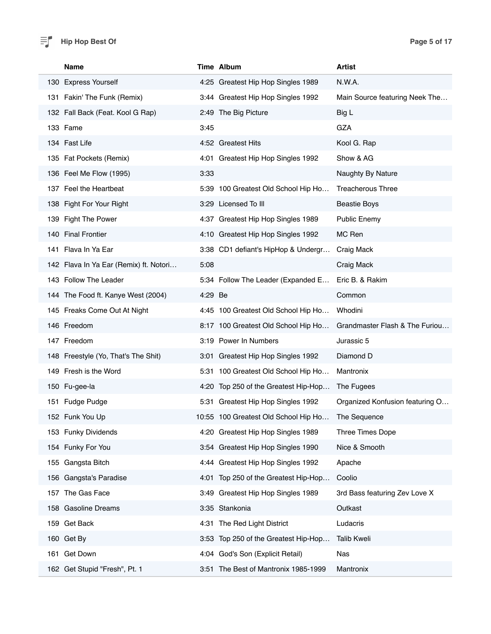#### $\equiv$  **Page 5 of 17 Page 5 of 17**

| <b>Name</b>                            |         | Time Album                            | <b>Artist</b>                   |
|----------------------------------------|---------|---------------------------------------|---------------------------------|
| 130 Express Yourself                   |         | 4:25 Greatest Hip Hop Singles 1989    | N.W.A.                          |
| 131 Fakin' The Funk (Remix)            |         | 3:44 Greatest Hip Hop Singles 1992    | Main Source featuring Neek The  |
| 132 Fall Back (Feat. Kool G Rap)       |         | 2:49 The Big Picture                  | Big L                           |
| 133 Fame                               | 3:45    |                                       | GZA                             |
| 134 Fast Life                          |         | 4:52 Greatest Hits                    | Kool G. Rap                     |
| 135 Fat Pockets (Remix)                |         | 4:01 Greatest Hip Hop Singles 1992    | Show & AG                       |
| 136 Feel Me Flow (1995)                | 3:33    |                                       | Naughty By Nature               |
| 137 Feel the Heartbeat                 |         | 5:39 100 Greatest Old School Hip Ho   | <b>Treacherous Three</b>        |
| 138 Fight For Your Right               |         | 3:29 Licensed To III                  | <b>Beastie Boys</b>             |
| 139 Fight The Power                    |         | 4:37 Greatest Hip Hop Singles 1989    | <b>Public Enemy</b>             |
| 140 Final Frontier                     |         | 4:10 Greatest Hip Hop Singles 1992    | MC Ren                          |
| 141 Flava In Ya Ear                    |         | 3:38 CD1 defiant's HipHop & Undergr   | Craig Mack                      |
| 142 Flava In Ya Ear (Remix) ft. Notori | 5:08    |                                       | Craig Mack                      |
| 143 Follow The Leader                  |         | 5:34 Follow The Leader (Expanded E    | Eric B. & Rakim                 |
| 144 The Food ft. Kanye West (2004)     | 4:29 Be |                                       | Common                          |
| 145 Freaks Come Out At Night           |         | 4:45 100 Greatest Old School Hip Ho   | Whodini                         |
| 146 Freedom                            |         | 8:17 100 Greatest Old School Hip Ho   | Grandmaster Flash & The Furiou  |
| 147 Freedom                            |         | 3:19 Power In Numbers                 | Jurassic 5                      |
| 148 Freestyle (Yo, That's The Shit)    |         | 3:01 Greatest Hip Hop Singles 1992    | Diamond D                       |
| 149 Fresh is the Word                  |         | 5:31 100 Greatest Old School Hip Ho   | Mantronix                       |
| 150 Fu-gee-la                          |         | 4:20 Top 250 of the Greatest Hip-Hop  | The Fugees                      |
| 151 Fudge Pudge                        |         | 5:31 Greatest Hip Hop Singles 1992    | Organized Konfusion featuring O |
| 152 Funk You Up                        |         | 10:55 100 Greatest Old School Hip Ho. | The Sequence                    |
| 153 Funky Dividends                    |         | 4:20 Greatest Hip Hop Singles 1989    | Three Times Dope                |
| 154 Funky For You                      |         | 3:54 Greatest Hip Hop Singles 1990    | Nice & Smooth                   |
| 155 Gangsta Bitch                      |         | 4:44 Greatest Hip Hop Singles 1992    | Apache                          |
| 156 Gangsta's Paradise                 |         | 4:01 Top 250 of the Greatest Hip-Hop  | Coolio                          |
| 157 The Gas Face                       |         | 3:49 Greatest Hip Hop Singles 1989    | 3rd Bass featuring Zev Love X   |
| 158 Gasoline Dreams                    |         | 3:35 Stankonia                        | Outkast                         |
| 159 Get Back                           |         | 4:31 The Red Light District           | Ludacris                        |
| 160 Get By                             |         | 3:53 Top 250 of the Greatest Hip-Hop  | <b>Talib Kweli</b>              |
| 161 Get Down                           |         | 4:04 God's Son (Explicit Retail)      | Nas                             |
| 162 Get Stupid "Fresh", Pt. 1          |         | 3:51 The Best of Mantronix 1985-1999  | Mantronix                       |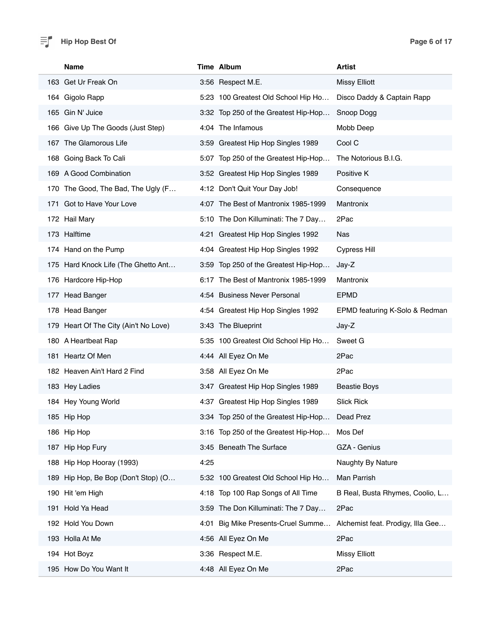### $\equiv$  **P Page 6 of 17 Page 6 of 17**

| <b>Name</b>                            |      | Time Album                            | <b>Artist</b>                     |
|----------------------------------------|------|---------------------------------------|-----------------------------------|
| 163 Get Ur Freak On                    |      | 3:56 Respect M.E.                     | <b>Missy Elliott</b>              |
| 164 Gigolo Rapp                        |      | 5:23 100 Greatest Old School Hip Ho   | Disco Daddy & Captain Rapp        |
| 165 Gin N' Juice                       |      | 3:32 Top 250 of the Greatest Hip-Hop  | Snoop Dogg                        |
| 166 Give Up The Goods (Just Step)      |      | 4:04 The Infamous                     | Mobb Deep                         |
| 167 The Glamorous Life                 |      | 3:59 Greatest Hip Hop Singles 1989    | Cool C                            |
| 168 Going Back To Cali                 |      | 5:07 Top 250 of the Greatest Hip-Hop  | The Notorious B.I.G.              |
| 169 A Good Combination                 |      | 3:52 Greatest Hip Hop Singles 1989    | Positive K                        |
| 170 The Good, The Bad, The Ugly (F     |      | 4:12 Don't Quit Your Day Job!         | Consequence                       |
| 171 Got to Have Your Love              |      | 4:07 The Best of Mantronix 1985-1999  | Mantronix                         |
| 172 Hail Mary                          |      | 5:10 The Don Killuminati: The 7 Day   | 2Pac                              |
| 173 Halftime                           |      | 4:21 Greatest Hip Hop Singles 1992    | Nas                               |
| 174 Hand on the Pump                   |      | 4:04 Greatest Hip Hop Singles 1992    | <b>Cypress Hill</b>               |
| 175 Hard Knock Life (The Ghetto Ant    |      | 3:59 Top 250 of the Greatest Hip-Hop  | Jay-Z                             |
| 176 Hardcore Hip-Hop                   |      | 6:17 The Best of Mantronix 1985-1999  | Mantronix                         |
| 177 Head Banger                        |      | 4:54 Business Never Personal          | <b>EPMD</b>                       |
| 178 Head Banger                        |      | 4:54 Greatest Hip Hop Singles 1992    | EPMD featuring K-Solo & Redman    |
| 179 Heart Of The City (Ain't No Love)  |      | 3:43 The Blueprint                    | Jay-Z                             |
| 180 A Heartbeat Rap                    |      | 5:35 100 Greatest Old School Hip Ho   | Sweet G                           |
| 181 Heartz Of Men                      |      | 4:44 All Eyez On Me                   | 2Pac                              |
| 182 Heaven Ain't Hard 2 Find           |      | 3:58 All Eyez On Me                   | 2Pac                              |
| 183 Hey Ladies                         |      | 3:47 Greatest Hip Hop Singles 1989    | <b>Beastie Boys</b>               |
| 184 Hey Young World                    |      | 4:37 Greatest Hip Hop Singles 1989    | <b>Slick Rick</b>                 |
| 185 Hip Hop                            |      | 3:34 Top 250 of the Greatest Hip-Hop. | Dead Prez                         |
| 186 Hip Hop                            |      | 3:16 Top 250 of the Greatest Hip-Hop  | Mos Def                           |
| 187 Hip Hop Fury                       |      | 3:45 Beneath The Surface              | GZA - Genius                      |
| 188 Hip Hop Hooray (1993)              | 4:25 |                                       | Naughty By Nature                 |
| Hip Hop, Be Bop (Don't Stop) (O<br>189 |      | 5:32 100 Greatest Old School Hip Ho   | Man Parrish                       |
| 190 Hit 'em High                       |      | 4:18 Top 100 Rap Songs of All Time    | B Real, Busta Rhymes, Coolio, L   |
| 191 Hold Ya Head                       |      | 3:59 The Don Killuminati: The 7 Day   | 2Pac                              |
| 192 Hold You Down                      | 4:01 | Big Mike Presents-Cruel Summe         | Alchemist feat. Prodigy, Illa Gee |
| 193 Holla At Me                        |      | 4:56 All Eyez On Me                   | 2Pac                              |
| 194 Hot Boyz                           |      | 3:36 Respect M.E.                     | <b>Missy Elliott</b>              |
| 195 How Do You Want It                 |      | 4:48 All Eyez On Me                   | 2Pac                              |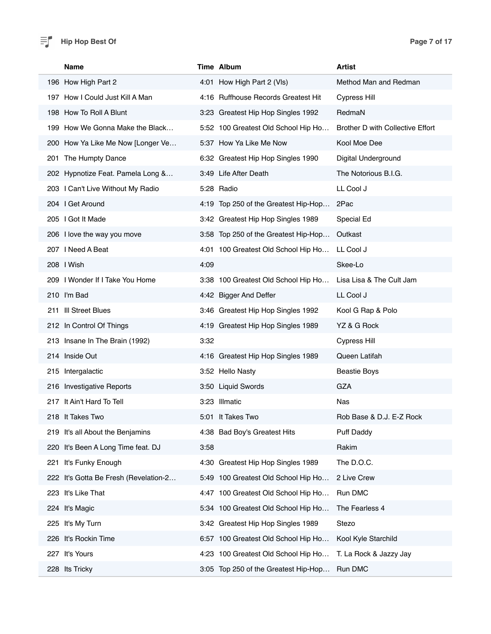#### $\equiv$  **Page 7 of 17 Page 7 of 17**

| <b>Name</b>                           | Time Album                             | <b>Artist</b>                           |
|---------------------------------------|----------------------------------------|-----------------------------------------|
| 196 How High Part 2                   | 4:01 How High Part 2 (VIs)             | Method Man and Redman                   |
| 197 How I Could Just Kill A Man       | 4:16 Ruffhouse Records Greatest Hit    | <b>Cypress Hill</b>                     |
| 198 How To Roll A Blunt               | 3:23 Greatest Hip Hop Singles 1992     | RedmaN                                  |
| 199 How We Gonna Make the Black       | 5:52 100 Greatest Old School Hip Ho    | <b>Brother D with Collective Effort</b> |
| 200 How Ya Like Me Now [Longer Ve     | 5:37 How Ya Like Me Now                | Kool Moe Dee                            |
| 201 The Humpty Dance                  | 6:32 Greatest Hip Hop Singles 1990     | Digital Underground                     |
| 202 Hypnotize Feat. Pamela Long &     | 3:49 Life After Death                  | The Notorious B.I.G.                    |
| 203 I Can't Live Without My Radio     | 5:28 Radio                             | LL Cool J                               |
| 204 I Get Around                      | 4:19 Top 250 of the Greatest Hip-Hop   | 2Pac                                    |
| 205 I Got It Made                     | 3:42 Greatest Hip Hop Singles 1989     | Special Ed                              |
| 206 I love the way you move           | 3:58 Top 250 of the Greatest Hip-Hop   | Outkast                                 |
| 207 I Need A Beat                     | 4:01 100 Greatest Old School Hip Ho    | LL Cool J                               |
| 208   Wish                            | 4:09                                   | Skee-Lo                                 |
| 209 I Wonder If I Take You Home       | 3:38 100 Greatest Old School Hip Ho    | Lisa Lisa & The Cult Jam                |
| 210 I'm Bad                           | 4:42 Bigger And Deffer                 | LL Cool J                               |
| 211 III Street Blues                  | 3:46 Greatest Hip Hop Singles 1992     | Kool G Rap & Polo                       |
| 212 In Control Of Things              | 4:19 Greatest Hip Hop Singles 1989     | YZ & G Rock                             |
| 213 Insane In The Brain (1992)        | 3:32                                   | <b>Cypress Hill</b>                     |
| 214 Inside Out                        | 4:16 Greatest Hip Hop Singles 1989     | Queen Latifah                           |
| 215 Intergalactic                     | 3:52 Hello Nasty                       | <b>Beastie Boys</b>                     |
| 216 Investigative Reports             | 3:50 Liquid Swords                     | GZA                                     |
| 217 It Ain't Hard To Tell             | 3:23 Illmatic                          | <b>Nas</b>                              |
| 218 It Takes Two                      | 5:01 It Takes Two                      | Rob Base & D.J. E-Z Rock                |
| 219 It's all About the Benjamins      | 4:38 Bad Boy's Greatest Hits           | Puff Daddy                              |
| 220 It's Been A Long Time feat. DJ    | 3:58                                   | Rakim                                   |
| It's Funky Enough<br>221              | Greatest Hip Hop Singles 1989<br>4:30  | The D.O.C.                              |
| 222 It's Gotta Be Fresh (Revelation-2 | 5:49 100 Greatest Old School Hip Ho    | 2 Live Crew                             |
| 223 It's Like That                    | 4:47 100 Greatest Old School Hip Ho    | Run DMC                                 |
| 224 It's Magic                        | 5:34 100 Greatest Old School Hip Ho    | The Fearless 4                          |
| 225 It's My Turn                      | 3:42 Greatest Hip Hop Singles 1989     | Stezo                                   |
| 226 It's Rockin Time                  | 100 Greatest Old School Hip Ho<br>6:57 | Kool Kyle Starchild                     |
| 227 It's Yours                        | 100 Greatest Old School Hip Ho<br>4:23 | T. La Rock & Jazzy Jay                  |
| 228 Its Tricky                        | 3:05 Top 250 of the Greatest Hip-Hop   | Run DMC                                 |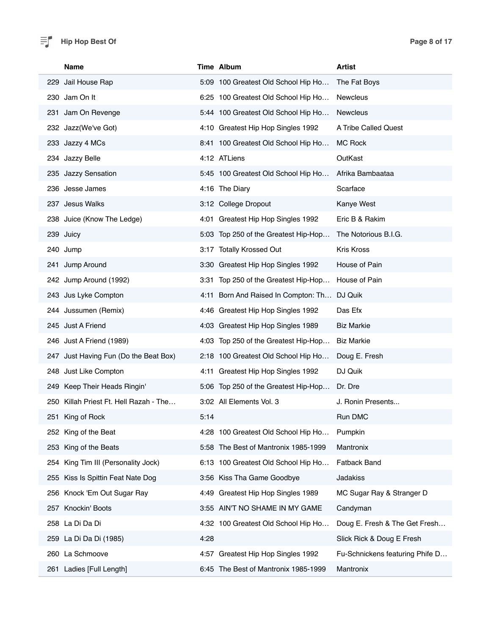#### $\equiv$  **Page 8 of 17 Page 8 of 17**

| <b>Name</b>                            | Time Album                                  | <b>Artist</b>                   |
|----------------------------------------|---------------------------------------------|---------------------------------|
| 229 Jail House Rap                     | 5:09 100 Greatest Old School Hip Ho         | The Fat Boys                    |
| 230 Jam On It                          | 6:25 100 Greatest Old School Hip Ho         | Newcleus                        |
| 231 Jam On Revenge                     | 5:44 100 Greatest Old School Hip Ho         | <b>Newcleus</b>                 |
| 232 Jazz(We've Got)                    | 4:10 Greatest Hip Hop Singles 1992          | A Tribe Called Quest            |
| 233 Jazzy 4 MCs                        | 8:41 100 Greatest Old School Hip Ho         | <b>MC Rock</b>                  |
| 234 Jazzy Belle                        | 4:12 ATLiens                                | OutKast                         |
| 235 Jazzy Sensation                    | 5:45 100 Greatest Old School Hip Ho         | Afrika Bambaataa                |
| 236 Jesse James                        | 4:16 The Diary                              | Scarface                        |
| 237 Jesus Walks                        | 3:12 College Dropout                        | Kanye West                      |
| 238 Juice (Know The Ledge)             | 4:01 Greatest Hip Hop Singles 1992          | Eric B & Rakim                  |
| 239 Juicy                              | 5:03 Top 250 of the Greatest Hip-Hop        | The Notorious B.I.G.            |
| 240 Jump                               | 3:17 Totally Krossed Out                    | <b>Kris Kross</b>               |
| 241 Jump Around                        | 3:30 Greatest Hip Hop Singles 1992          | House of Pain                   |
| 242 Jump Around (1992)                 | 3:31 Top 250 of the Greatest Hip-Hop        | House of Pain                   |
| 243 Jus Lyke Compton                   | 4:11 Born And Raised In Compton: Th DJ Quik |                                 |
| 244 Jussumen (Remix)                   | 4:46 Greatest Hip Hop Singles 1992          | Das Efx                         |
| 245 Just A Friend                      | 4:03 Greatest Hip Hop Singles 1989          | <b>Biz Markie</b>               |
| 246 Just A Friend (1989)               | 4:03 Top 250 of the Greatest Hip-Hop        | <b>Biz Markie</b>               |
| 247 Just Having Fun (Do the Beat Box)  | 2:18 100 Greatest Old School Hip Ho         | Doug E. Fresh                   |
| 248 Just Like Compton                  | 4:11 Greatest Hip Hop Singles 1992          | DJ Quik                         |
| 249 Keep Their Heads Ringin'           | 5:06 Top 250 of the Greatest Hip-Hop        | Dr. Dre                         |
| 250 Killah Priest Ft. Hell Razah - The | 3:02 All Elements Vol. 3                    | J. Ronin Presents               |
| 251 King of Rock                       | 5:14                                        | Run DMC                         |
| 252 King of the Beat                   | 4:28 100 Greatest Old School Hip Ho         | Pumpkin                         |
| 253 King of the Beats                  | 5:58 The Best of Mantronix 1985-1999        | Mantronix                       |
| King Tim III (Personality Jock)<br>254 | 100 Greatest Old School Hip Ho<br>6:13      | <b>Fatback Band</b>             |
| 255 Kiss Is Spittin Feat Nate Dog      | 3:56 Kiss Tha Game Goodbye                  | Jadakiss                        |
| 256 Knock 'Em Out Sugar Ray            | Greatest Hip Hop Singles 1989<br>4:49       | MC Sugar Ray & Stranger D       |
| 257 Knockin' Boots                     | 3:55 AIN'T NO SHAME IN MY GAME              | Candyman                        |
| 258 La Di Da Di                        | 4:32 100 Greatest Old School Hip Ho         | Doug E. Fresh & The Get Fresh   |
| 259 La Di Da Di (1985)                 | 4:28                                        | Slick Rick & Doug E Fresh       |
| 260 La Schmoove                        | 4:57 Greatest Hip Hop Singles 1992          | Fu-Schnickens featuring Phife D |
| 261 Ladies [Full Length]               | 6:45 The Best of Mantronix 1985-1999        | Mantronix                       |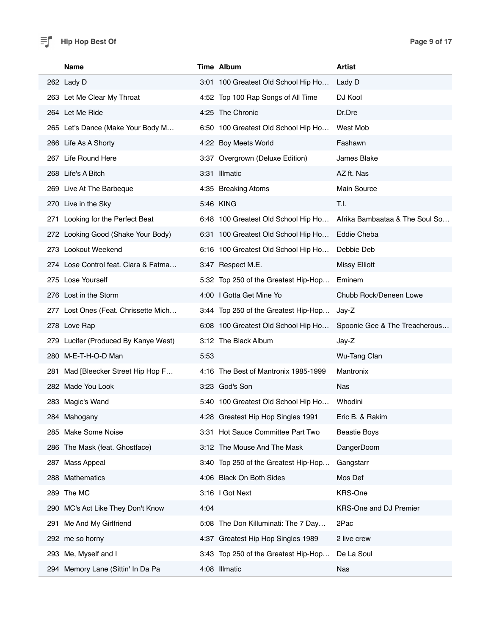#### $\equiv$  **Page 9 of 17 Page 9 of 17**

| <b>Name</b>                          | <b>Time Album</b>                    | <b>Artist</b>                  |
|--------------------------------------|--------------------------------------|--------------------------------|
| 262 Lady D                           | 3:01 100 Greatest Old School Hip Ho  | Lady D                         |
| 263 Let Me Clear My Throat           | 4:52 Top 100 Rap Songs of All Time   | DJ Kool                        |
| 264 Let Me Ride                      | 4:25 The Chronic                     | Dr.Dre                         |
| 265 Let's Dance (Make Your Body M    | 6:50 100 Greatest Old School Hip Ho  | West Mob                       |
| 266 Life As A Shorty                 | 4:22 Boy Meets World                 | Fashawn                        |
| 267 Life Round Here                  | 3:37 Overgrown (Deluxe Edition)      | James Blake                    |
| 268 Life's A Bitch                   | 3:31 Illmatic                        | AZ ft. Nas                     |
| 269 Live At The Barbeque             | 4:35 Breaking Atoms                  | Main Source                    |
| 270 Live in the Sky                  | 5:46 KING                            | T.I.                           |
| 271 Looking for the Perfect Beat     | 6:48 100 Greatest Old School Hip Ho  | Afrika Bambaataa & The Soul So |
| 272 Looking Good (Shake Your Body)   | 6:31 100 Greatest Old School Hip Ho  | Eddie Cheba                    |
| 273 Lookout Weekend                  | 6:16 100 Greatest Old School Hip Ho  | Debbie Deb                     |
| 274 Lose Control feat. Ciara & Fatma | 3:47 Respect M.E.                    | Missy Elliott                  |
| 275 Lose Yourself                    | 5:32 Top 250 of the Greatest Hip-Hop | Eminem                         |
| 276 Lost in the Storm                | 4:00   Gotta Get Mine Yo             | Chubb Rock/Deneen Lowe         |
| 277 Lost Ones (Feat. Chrissette Mich | 3:44 Top 250 of the Greatest Hip-Hop | Jay-Z                          |
| 278 Love Rap                         | 6:08 100 Greatest Old School Hip Ho  | Spoonie Gee & The Treacherous  |
| 279 Lucifer (Produced By Kanye West) | 3:12 The Black Album                 | Jay-Z                          |
| 280 M-E-T-H-O-D Man                  | 5:53                                 | Wu-Tang Clan                   |
| 281 Mad [Bleecker Street Hip Hop F   | 4:16 The Best of Mantronix 1985-1999 | Mantronix                      |
| 282 Made You Look                    | 3:23 God's Son                       | <b>Nas</b>                     |
| 283 Magic's Wand                     | 5:40 100 Greatest Old School Hip Ho  | Whodini                        |
| 284 Mahogany                         | 4:28 Greatest Hip Hop Singles 1991   | Eric B. & Rakim                |
| 285 Make Some Noise                  | 3:31 Hot Sauce Committee Part Two    | <b>Beastie Boys</b>            |
| 286 The Mask (feat. Ghostface)       | 3:12 The Mouse And The Mask          | DangerDoom                     |
| 287 Mass Appeal                      | 3:40 Top 250 of the Greatest Hip-Hop | Gangstarr                      |
| 288 Mathematics                      | 4:06 Black On Both Sides             | Mos Def                        |
| 289 The MC                           | 3:16   Got Next                      | KRS-One                        |
| 290 MC's Act Like They Don't Know    | 4:04                                 | KRS-One and DJ Premier         |
| Me And My Girlfriend<br>291          | 5:08 The Don Killuminati: The 7 Day  | 2Pac                           |
| 292 me so horny                      | 4:37 Greatest Hip Hop Singles 1989   | 2 live crew                    |
| 293 Me, Myself and I                 | 3:43 Top 250 of the Greatest Hip-Hop | De La Soul                     |
| 294 Memory Lane (Sittin' In Da Pa    | 4:08 Illmatic                        | Nas                            |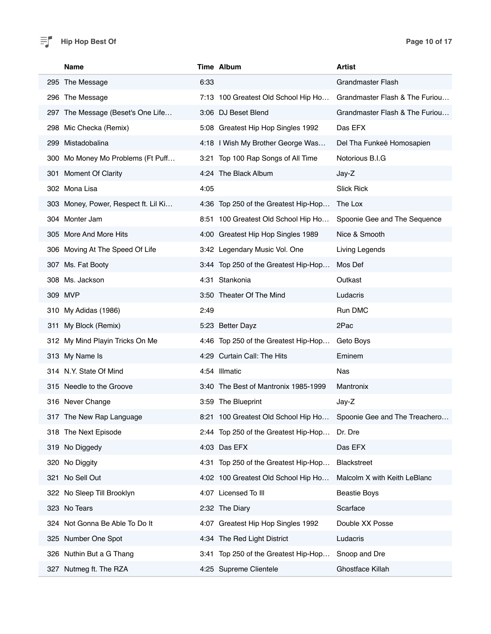#### $\equiv$  **Page 10 of 17 Page 10 of 17**

| Name                                 | Time Album                           | <b>Artist</b>                  |
|--------------------------------------|--------------------------------------|--------------------------------|
| 295 The Message                      | 6:33                                 | <b>Grandmaster Flash</b>       |
| 296 The Message                      | 7:13 100 Greatest Old School Hip Ho  | Grandmaster Flash & The Furiou |
| 297 The Message (Beset's One Life    | 3:06 DJ Beset Blend                  | Grandmaster Flash & The Furiou |
| 298 Mic Checka (Remix)               | 5:08 Greatest Hip Hop Singles 1992   | Das EFX                        |
| 299 Mistadobalina                    | 4:18 I Wish My Brother George Was    | Del Tha Funkeé Homosapien      |
| 300 Mo Money Mo Problems (Ft Puff    | 3:21 Top 100 Rap Songs of All Time   | Notorious B.I.G                |
| 301 Moment Of Clarity                | 4:24 The Black Album                 | Jay-Z                          |
| 302 Mona Lisa                        | 4:05                                 | <b>Slick Rick</b>              |
| 303 Money, Power, Respect ft. Lil Ki | 4:36 Top 250 of the Greatest Hip-Hop | The Lox                        |
| 304 Monter Jam                       | 8:51 100 Greatest Old School Hip Ho  | Spoonie Gee and The Sequence   |
| 305 More And More Hits               | 4:00 Greatest Hip Hop Singles 1989   | Nice & Smooth                  |
| 306 Moving At The Speed Of Life      | 3:42 Legendary Music Vol. One        | Living Legends                 |
| 307 Ms. Fat Booty                    | 3:44 Top 250 of the Greatest Hip-Hop | Mos Def                        |
| 308 Ms. Jackson                      | 4:31 Stankonia                       | Outkast                        |
| 309 MVP                              | 3:50 Theater Of The Mind             | Ludacris                       |
| 310 My Adidas (1986)                 | 2:49                                 | Run DMC                        |
| 311 My Block (Remix)                 | 5:23 Better Dayz                     | 2Pac                           |
| 312 My Mind Playin Tricks On Me      | 4:46 Top 250 of the Greatest Hip-Hop | Geto Boys                      |
| 313 My Name Is                       | 4:29 Curtain Call: The Hits          | Eminem                         |
| 314 N.Y. State Of Mind               | 4:54 Illmatic                        | <b>Nas</b>                     |
| 315 Needle to the Groove             | 3:40 The Best of Mantronix 1985-1999 | Mantronix                      |
| 316 Never Change                     | 3:59 The Blueprint                   | Jay-Z                          |
| 317 The New Rap Language             | 8:21 100 Greatest Old School Hip Ho  | Spoonie Gee and The Treachero  |
| 318 The Next Episode                 | 2:44 Top 250 of the Greatest Hip-Hop | Dr. Dre                        |
| 319 No Diggedy                       | 4:03 Das EFX                         | Das EFX                        |
| 320 No Diggity                       | 4:31 Top 250 of the Greatest Hip-Hop | <b>Blackstreet</b>             |
| 321 No Sell Out                      | 4:02 100 Greatest Old School Hip Ho  | Malcolm X with Keith LeBlanc   |
| 322 No Sleep Till Brooklyn           | 4:07 Licensed To III                 | <b>Beastie Boys</b>            |
| 323 No Tears                         | 2:32 The Diary                       | Scarface                       |
| 324 Not Gonna Be Able To Do It       | 4:07 Greatest Hip Hop Singles 1992   | Double XX Posse                |
| 325 Number One Spot                  | 4:34 The Red Light District          | Ludacris                       |
| 326 Nuthin But a G Thang             | 3:41 Top 250 of the Greatest Hip-Hop | Snoop and Dre                  |
| 327 Nutmeg ft. The RZA               | 4:25 Supreme Clientele               | Ghostface Killah               |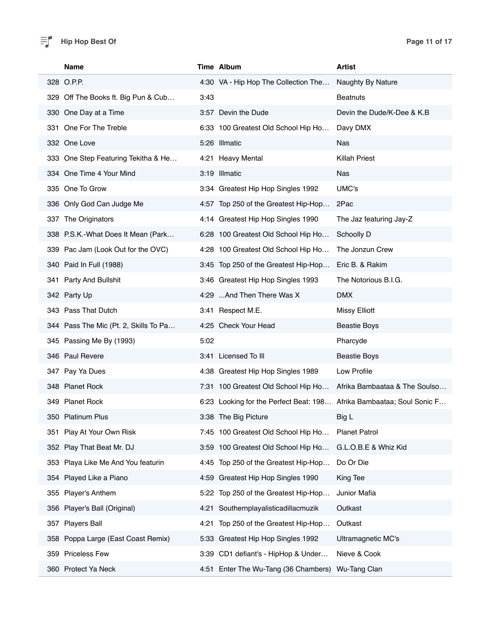# $\equiv$  **Hip Hop Best Of Page 11 of 17**

|     | Name                                  |      | Time Album                                                            | <b>Artist</b>                 |
|-----|---------------------------------------|------|-----------------------------------------------------------------------|-------------------------------|
|     | 328 O.P.P.                            |      | 4:30 VA - Hip Hop The Collection The                                  | Naughty By Nature             |
| 329 | Off The Books ft. Big Pun & Cub       | 3:43 |                                                                       | <b>Beatnuts</b>               |
|     | 330 One Day at a Time                 |      | 3:57 Devin the Dude                                                   | Devin the Dude/K-Dee & K.B    |
|     | 331 One For The Treble                |      | 6:33 100 Greatest Old School Hip Ho                                   | Davy DMX                      |
|     | 332 One Love                          |      | 5:26 Illmatic                                                         | <b>Nas</b>                    |
|     | 333 One Step Featuring Tekitha & He   |      | 4:21 Heavy Mental                                                     | <b>Killah Priest</b>          |
|     | 334 One Time 4 Your Mind              |      | 3:19 Illmatic                                                         | Nas                           |
|     | 335 One To Grow                       |      | 3:34 Greatest Hip Hop Singles 1992                                    | UMC's                         |
|     | 336 Only God Can Judge Me             |      | 4:57 Top 250 of the Greatest Hip-Hop                                  | 2Pac                          |
| 337 | The Originators                       |      | 4:14 Greatest Hip Hop Singles 1990                                    | The Jaz featuring Jay-Z       |
|     | 338 P.S.K.-What Does It Mean (Park    |      | 6:28 100 Greatest Old School Hip Ho                                   | Schoolly D                    |
|     | 339 Pac Jam (Look Out for the OVC)    |      | 4:28 100 Greatest Old School Hip Ho                                   | The Jonzun Crew               |
|     | 340 Paid In Full (1988)               |      | 3:45 Top 250 of the Greatest Hip-Hop                                  | Eric B. & Rakim               |
|     | 341 Party And Bullshit                |      | 3:46 Greatest Hip Hop Singles 1993                                    | The Notorious B.I.G.          |
|     | 342 Party Up                          |      | 4:29 And Then There Was X                                             | <b>DMX</b>                    |
|     | 343 Pass That Dutch                   |      | 3:41 Respect M.E.                                                     | <b>Missy Elliott</b>          |
|     | 344 Pass The Mic (Pt. 2, Skills To Pa |      | 4:25 Check Your Head                                                  | <b>Beastie Boys</b>           |
|     | 345 Passing Me By (1993)              | 5:02 |                                                                       | Pharcyde                      |
|     | 346 Paul Revere                       |      | 3:41 Licensed To III                                                  | <b>Beastie Boys</b>           |
|     | 347 Pay Ya Dues                       |      | 4:38 Greatest Hip Hop Singles 1989                                    | Low Profile                   |
|     | 348 Planet Rock                       |      | 7:31 100 Greatest Old School Hip Ho                                   | Afrika Bambaataa & The Soulso |
|     | 349 Planet Rock                       |      | 6:23 Looking for the Perfect Beat: 198 Afrika Bambaataa; Soul Sonic F |                               |
|     | 350 Platinum Plus                     |      | 3:38 The Big Picture                                                  | Big L                         |
| 351 | Play At Your Own Risk                 |      | 7:45 100 Greatest Old School Hip Ho                                   | <b>Planet Patrol</b>          |
| 352 | Play That Beat Mr. DJ                 |      | 3:59 100 Greatest Old School Hip Ho                                   | G.L.O.B.E & Whiz Kid          |
| 353 | Playa Like Me And You featurin        |      | 4:45 Top 250 of the Greatest Hip-Hop                                  | Do Or Die                     |
| 354 | Played Like a Piano                   | 4:59 | Greatest Hip Hop Singles 1990                                         | King Tee                      |
| 355 | Player's Anthem                       |      | 5:22 Top 250 of the Greatest Hip-Hop                                  | Junior Mafia                  |
| 356 | Player's Ball (Original)              | 4:21 | Southernplayalisticadillacmuzik                                       | Outkast                       |
| 357 | <b>Players Ball</b>                   | 4:21 | Top 250 of the Greatest Hip-Hop                                       | Outkast                       |
| 358 | Poppa Large (East Coast Remix)        | 5:33 | Greatest Hip Hop Singles 1992                                         | Ultramagnetic MC's            |
| 359 | <b>Priceless Few</b>                  | 3:39 | CD1 defiant's - HipHop & Under                                        | Nieve & Cook                  |
| 360 | Protect Ya Neck                       | 4:51 | Enter The Wu-Tang (36 Chambers) Wu-Tang Clan                          |                               |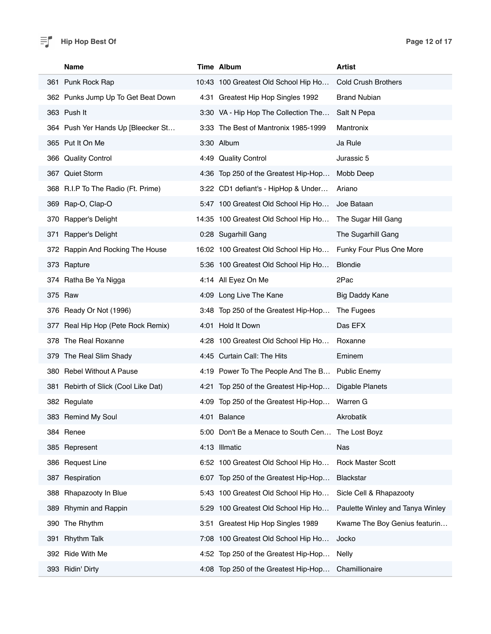#### $\equiv$  **Page 12 of 17 Page 12 of 17**

| Name                                 | Time Album                           |                                                   | <b>Artist</b>                    |
|--------------------------------------|--------------------------------------|---------------------------------------------------|----------------------------------|
| 361 Punk Rock Rap                    | 10:43 100 Greatest Old School Hip Ho |                                                   | <b>Cold Crush Brothers</b>       |
| 362 Punks Jump Up To Get Beat Down   | 4:31 Greatest Hip Hop Singles 1992   |                                                   | <b>Brand Nubian</b>              |
| 363 Push It                          |                                      | 3:30 VA - Hip Hop The Collection The              | Salt N Pepa                      |
| 364 Push Yer Hands Up [Bleecker St   | 3:33 The Best of Mantronix 1985-1999 |                                                   | Mantronix                        |
| 365 Put It On Me                     | 3:30 Album                           |                                                   | Ja Rule                          |
| 366 Quality Control                  | 4:49 Quality Control                 |                                                   | Jurassic 5                       |
| 367 Quiet Storm                      |                                      | 4:36 Top 250 of the Greatest Hip-Hop              | Mobb Deep                        |
| 368 R.I.P To The Radio (Ft. Prime)   |                                      | 3:22 CD1 defiant's - HipHop & Under               | Ariano                           |
| 369 Rap-O, Clap-O                    |                                      | 5:47 100 Greatest Old School Hip Ho               | Joe Bataan                       |
| 370 Rapper's Delight                 | 14:35 100 Greatest Old School Hip Ho |                                                   | The Sugar Hill Gang              |
| 371 Rapper's Delight                 | 0:28 Sugarhill Gang                  |                                                   | The Sugarhill Gang               |
| 372 Rappin And Rocking The House     | 16:02 100 Greatest Old School Hip Ho |                                                   | Funky Four Plus One More         |
| 373 Rapture                          |                                      | 5:36 100 Greatest Old School Hip Ho               | <b>Blondie</b>                   |
| 374 Ratha Be Ya Nigga                | 4:14 All Eyez On Me                  |                                                   | 2Pac                             |
| 375 Raw                              | 4:09 Long Live The Kane              |                                                   | Big Daddy Kane                   |
| 376 Ready Or Not (1996)              |                                      | 3:48 Top 250 of the Greatest Hip-Hop              | The Fugees                       |
| 377 Real Hip Hop (Pete Rock Remix)   | 4:01 Hold It Down                    |                                                   | Das EFX                          |
| 378 The Real Roxanne                 |                                      | 4:28 100 Greatest Old School Hip Ho               | Roxanne                          |
| 379 The Real Slim Shady              | 4:45 Curtain Call: The Hits          |                                                   | Eminem                           |
| 380 Rebel Without A Pause            |                                      | 4:19 Power To The People And The B                | <b>Public Enemy</b>              |
| 381 Rebirth of Slick (Cool Like Dat) |                                      | 4:21 Top 250 of the Greatest Hip-Hop              | Digable Planets                  |
| 382 Regulate                         |                                      | 4:09 Top 250 of the Greatest Hip-Hop              | Warren G                         |
| 383 Remind My Soul                   | 4:01 Balance                         |                                                   | Akrobatik                        |
| 384 Renee                            |                                      | 5:00 Don't Be a Menace to South Cen The Lost Boyz |                                  |
| 385 Represent                        | 4:13 Illmatic                        |                                                   | Nas                              |
| 386 Request Line                     |                                      | 6:52 100 Greatest Old School Hip Ho               | <b>Rock Master Scott</b>         |
| 387 Respiration                      |                                      | 6:07 Top 250 of the Greatest Hip-Hop              | Blackstar                        |
| Rhapazooty In Blue<br>388            |                                      | 5:43 100 Greatest Old School Hip Ho               | Sicle Cell & Rhapazooty          |
| 389 Rhymin and Rappin                |                                      | 5:29 100 Greatest Old School Hip Ho               | Paulette Winley and Tanya Winley |
| 390 The Rhythm                       | 3:51 Greatest Hip Hop Singles 1989   |                                                   | Kwame The Boy Genius featurin    |
| <b>Rhythm Talk</b><br>391            |                                      | 7:08 100 Greatest Old School Hip Ho               | Jocko                            |
| 392 Ride With Me                     | 4:52                                 | Top 250 of the Greatest Hip-Hop                   | <b>Nelly</b>                     |
| 393 Ridin' Dirty                     |                                      | 4:08 Top 250 of the Greatest Hip-Hop              | Chamillionaire                   |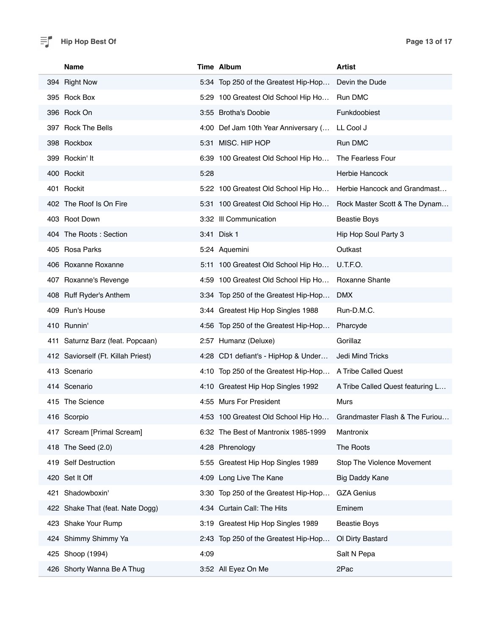#### $\equiv$  **P Page 13 of 17 Page 13 of 17**

| <b>Name</b>                        |      | Time Album                           | <b>Artist</b>                    |
|------------------------------------|------|--------------------------------------|----------------------------------|
| 394 Right Now                      |      | 5:34 Top 250 of the Greatest Hip-Hop | Devin the Dude                   |
| 395 Rock Box                       |      | 5:29 100 Greatest Old School Hip Ho  | <b>Run DMC</b>                   |
| 396 Rock On                        |      | 3:55 Brotha's Doobie                 | Funkdoobiest                     |
| 397 Rock The Bells                 |      | 4:00 Def Jam 10th Year Anniversary ( | LL Cool J                        |
| 398 Rockbox                        |      | 5:31 MISC. HIP HOP                   | Run DMC                          |
| 399 Rockin' It                     |      | 6:39 100 Greatest Old School Hip Ho  | The Fearless Four                |
| 400 Rockit                         | 5:28 |                                      | Herbie Hancock                   |
| 401 Rockit                         |      | 5:22 100 Greatest Old School Hip Ho  | Herbie Hancock and Grandmast     |
| 402 The Roof Is On Fire            |      | 5:31 100 Greatest Old School Hip Ho  | Rock Master Scott & The Dynam    |
| 403 Root Down                      |      | 3:32 III Communication               | <b>Beastie Boys</b>              |
| 404 The Roots: Section             |      | 3:41 Disk 1                          | Hip Hop Soul Party 3             |
| 405 Rosa Parks                     |      | 5:24 Aquemini                        | Outkast                          |
| 406 Roxanne Roxanne                |      | 5:11 100 Greatest Old School Hip Ho  | U.T.F.O.                         |
| 407 Roxanne's Revenge              |      | 4:59 100 Greatest Old School Hip Ho  | Roxanne Shante                   |
| 408 Ruff Ryder's Anthem            |      | 3:34 Top 250 of the Greatest Hip-Hop | <b>DMX</b>                       |
| 409 Run's House                    |      | 3:44 Greatest Hip Hop Singles 1988   | Run-D.M.C.                       |
| 410 Runnin'                        |      | 4:56 Top 250 of the Greatest Hip-Hop | Pharcyde                         |
| 411 Saturnz Barz (feat. Popcaan)   |      | 2:57 Humanz (Deluxe)                 | Gorillaz                         |
| 412 Saviorself (Ft. Killah Priest) |      | 4:28 CD1 defiant's - HipHop & Under  | Jedi Mind Tricks                 |
| 413 Scenario                       |      | 4:10 Top 250 of the Greatest Hip-Hop | A Tribe Called Quest             |
| 414 Scenario                       |      | 4:10 Greatest Hip Hop Singles 1992   | A Tribe Called Quest featuring L |
| 415 The Science                    |      | 4:55 Murs For President              | <b>Murs</b>                      |
| 416 Scorpio                        |      | 4:53 100 Greatest Old School Hip Ho  | Grandmaster Flash & The Furiou.  |
| 417 Scream [Primal Scream]         |      | 6:32 The Best of Mantronix 1985-1999 | Mantronix                        |
| 418 The Seed (2.0)                 |      | 4:28 Phrenology                      | The Roots                        |
| 419 Self Destruction               |      | 5:55 Greatest Hip Hop Singles 1989   | Stop The Violence Movement       |
| 420 Set It Off                     |      | 4:09 Long Live The Kane              | <b>Big Daddy Kane</b>            |
| 421 Shadowboxin'                   |      | 3:30 Top 250 of the Greatest Hip-Hop | <b>GZA Genius</b>                |
| 422 Shake That (feat. Nate Dogg)   |      | 4:34 Curtain Call: The Hits          | Eminem                           |
| 423 Shake Your Rump                |      | 3:19 Greatest Hip Hop Singles 1989   | <b>Beastie Boys</b>              |
| 424 Shimmy Shimmy Ya               |      | 2:43 Top 250 of the Greatest Hip-Hop | Ol Dirty Bastard                 |
| 425 Shoop (1994)                   | 4:09 |                                      | Salt N Pepa                      |
| 426 Shorty Wanna Be A Thug         |      | 3:52 All Eyez On Me                  | 2Pac                             |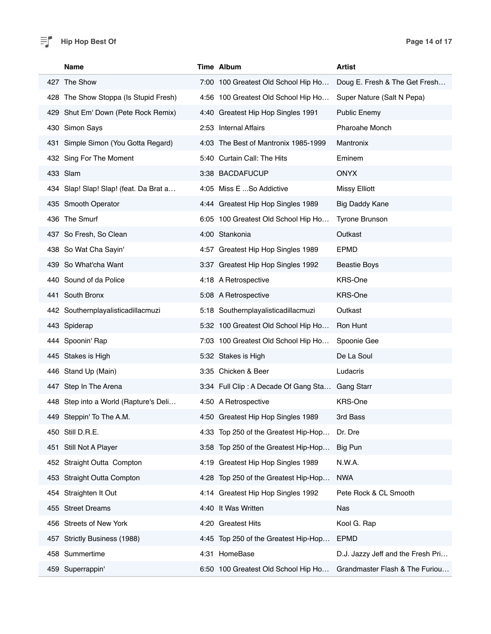| Name                                   |      | Time Album                                      | <b>Artist</b>                     |
|----------------------------------------|------|-------------------------------------------------|-----------------------------------|
| 427 The Show                           |      | 7:00 100 Greatest Old School Hip Ho             | Doug E. Fresh & The Get Fresh     |
| 428 The Show Stoppa (Is Stupid Fresh)  |      | 4:56 100 Greatest Old School Hip Ho             | Super Nature (Salt N Pepa)        |
| 429 Shut Em' Down (Pete Rock Remix)    |      | 4:40 Greatest Hip Hop Singles 1991              | <b>Public Enemy</b>               |
| 430 Simon Says                         |      | 2:53 Internal Affairs                           | <b>Pharoahe Monch</b>             |
| 431 Simple Simon (You Gotta Regard)    |      | 4:03 The Best of Mantronix 1985-1999            | <b>Mantronix</b>                  |
| 432 Sing For The Moment                |      | 5:40 Curtain Call: The Hits                     | Eminem                            |
| 433 Slam                               |      | 3:38 BACDAFUCUP                                 | <b>ONYX</b>                       |
| 434 Slap! Slap! Slap! (feat. Da Brat a |      | 4:05 Miss E So Addictive                        | <b>Missy Elliott</b>              |
| 435 Smooth Operator                    |      | 4:44 Greatest Hip Hop Singles 1989              | Big Daddy Kane                    |
| 436 The Smurf                          |      | 6:05 100 Greatest Old School Hip Ho             | Tyrone Brunson                    |
| 437 So Fresh, So Clean                 |      | 4:00 Stankonia                                  | Outkast                           |
| 438 So Wat Cha Sayin'                  |      | 4:57 Greatest Hip Hop Singles 1989              | <b>EPMD</b>                       |
| 439 So What'cha Want                   |      | 3:37 Greatest Hip Hop Singles 1992              | <b>Beastie Boys</b>               |
| 440 Sound of da Police                 |      | 4:18 A Retrospective                            | <b>KRS-One</b>                    |
| 441 South Bronx                        |      | 5:08 A Retrospective                            | <b>KRS-One</b>                    |
| 442 Southernplayalisticadillacmuzi     |      | 5:18 Southernplayalisticadillacmuzi             | Outkast                           |
| 443 Spiderap                           |      | 5:32 100 Greatest Old School Hip Ho             | Ron Hunt                          |
| 444 Spoonin' Rap                       |      | 7:03 100 Greatest Old School Hip Ho             | Spoonie Gee                       |
| 445 Stakes is High                     |      | 5:32 Stakes is High                             | De La Soul                        |
| 446 Stand Up (Main)                    |      | 3:35 Chicken & Beer                             | Ludacris                          |
| 447 Step In The Arena                  |      | 3:34 Full Clip: A Decade Of Gang Sta Gang Starr |                                   |
| 448 Step into a World (Rapture's Deli  |      | 4:50 A Retrospective                            | <b>KRS-One</b>                    |
| 449 Steppin' To The A.M.               |      | 4:50 Greatest Hip Hop Singles 1989              | 3rd Bass                          |
| 450 Still D.R.E.                       |      | 4:33 Top 250 of the Greatest Hip-Hop            | Dr. Dre                           |
| 451 Still Not A Player                 |      | 3:58 Top 250 of the Greatest Hip-Hop            | Big Pun                           |
| 452 Straight Outta Compton             |      | 4:19 Greatest Hip Hop Singles 1989              | N.W.A.                            |
| 453 Straight Outta Compton             |      | 4:28 Top 250 of the Greatest Hip-Hop            | <b>NWA</b>                        |
| 454 Straighten It Out                  |      | 4:14 Greatest Hip Hop Singles 1992              | Pete Rock & CL Smooth             |
| 455 Street Dreams                      |      | 4:40 It Was Written                             | Nas                               |
| 456 Streets of New York                |      | 4:20 Greatest Hits                              | Kool G. Rap                       |
| 457 Strictly Business (1988)           |      | 4:45 Top 250 of the Greatest Hip-Hop            | <b>EPMD</b>                       |
| 458 Summertime                         | 4:31 | HomeBase                                        | D.J. Jazzy Jeff and the Fresh Pri |
| 459 Superrappin'                       |      | 6:50 100 Greatest Old School Hip Ho             | Grandmaster Flash & The Furiou    |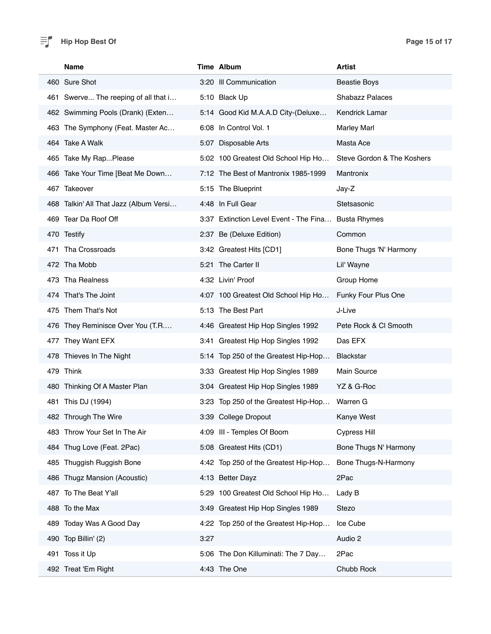#### $\equiv$  **Page 15 of 17 Page 15 of 17**

| Name                                   | Time Album                             | <b>Artist</b>              |
|----------------------------------------|----------------------------------------|----------------------------|
| 460 Sure Shot                          | 3:20 III Communication                 | <b>Beastie Boys</b>        |
| 461 Swerve The reeping of all that i   | 5:10 Black Up                          | <b>Shabazz Palaces</b>     |
| 462 Swimming Pools (Drank) (Exten      | 5:14 Good Kid M.A.A.D City-(Deluxe     | <b>Kendrick Lamar</b>      |
| 463 The Symphony (Feat. Master Ac      | 6:08 In Control Vol. 1                 | <b>Marley Marl</b>         |
| 464 Take A Walk                        | 5:07 Disposable Arts                   | Masta Ace                  |
| 465 Take My RapPlease                  | 5:02 100 Greatest Old School Hip Ho    | Steve Gordon & The Koshers |
| 466 Take Your Time [Beat Me Down       | 7:12 The Best of Mantronix 1985-1999   | Mantronix                  |
| 467 Takeover                           | 5:15 The Blueprint                     | Jay-Z                      |
| 468 Talkin' All That Jazz (Album Versi | 4:48 In Full Gear                      | Stetsasonic                |
| 469 Tear Da Roof Off                   | 3:37 Extinction Level Event - The Fina | <b>Busta Rhymes</b>        |
| 470 Testify                            | 2:37 Be (Deluxe Edition)               | Common                     |
| 471 Tha Crossroads                     | 3:42 Greatest Hits [CD1]               | Bone Thugs 'N' Harmony     |
| 472 Tha Mobb                           | 5:21 The Carter II                     | Lil' Wayne                 |
| 473 Tha Realness                       | 4:32 Livin' Proof                      | Group Home                 |
| 474 That's The Joint                   | 4:07 100 Greatest Old School Hip Ho    | Funky Four Plus One        |
| 475 Them That's Not                    | 5:13 The Best Part                     | J-Live                     |
| 476 They Reminisce Over You (T.R       | 4:46 Greatest Hip Hop Singles 1992     | Pete Rock & CI Smooth      |
| 477 They Want EFX                      | 3:41 Greatest Hip Hop Singles 1992     | Das EFX                    |
| 478 Thieves In The Night               | 5:14 Top 250 of the Greatest Hip-Hop   | <b>Blackstar</b>           |
| 479 Think                              | 3:33 Greatest Hip Hop Singles 1989     | <b>Main Source</b>         |
| 480 Thinking Of A Master Plan          | 3:04 Greatest Hip Hop Singles 1989     | YZ & G-Roc                 |
| 481 This DJ (1994)                     | 3:23 Top 250 of the Greatest Hip-Hop   | Warren G                   |
| 482 Through The Wire                   | 3:39 College Dropout                   | Kanye West                 |
| 483 Throw Your Set In The Air          | 4:09 III - Temples Of Boom             | <b>Cypress Hill</b>        |
| 484 Thug Love (Feat. 2Pac)             | 5:08 Greatest Hits (CD1)               | Bone Thugs N' Harmony      |
| 485 Thuggish Ruggish Bone              | 4:42 Top 250 of the Greatest Hip-Hop   | Bone Thugs-N-Harmony       |
| 486 Thugz Mansion (Acoustic)           | 4:13 Better Dayz                       | 2Pac                       |
| 487 To The Beat Y'all                  | 5:29 100 Greatest Old School Hip Ho    | Lady B                     |
| 488 To the Max                         | 3:49 Greatest Hip Hop Singles 1989     | Stezo                      |
| 489 Today Was A Good Day               | 4:22 Top 250 of the Greatest Hip-Hop   | Ice Cube                   |
| 490 Top Billin' (2)                    | 3:27                                   | Audio 2                    |
| Toss it Up<br>491                      | 5:06 The Don Killuminati: The 7 Day    | 2Pac                       |
| 492 Treat 'Em Right                    | 4:43 The One                           | Chubb Rock                 |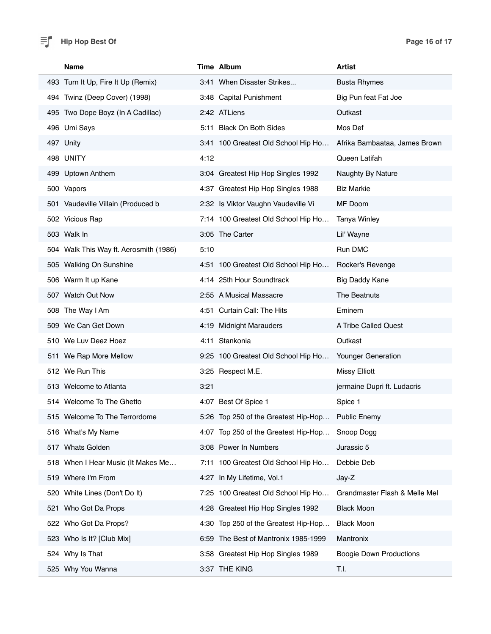#### $\equiv$  **Page 16 of 17 Page 16 of 17**

| <b>Name</b>                            | Time Album                           | Artist                         |
|----------------------------------------|--------------------------------------|--------------------------------|
| 493 Turn It Up, Fire It Up (Remix)     | 3:41 When Disaster Strikes           | <b>Busta Rhymes</b>            |
| 494 Twinz (Deep Cover) (1998)          | 3:48 Capital Punishment              | Big Pun feat Fat Joe           |
| 495 Two Dope Boyz (In A Cadillac)      | 2:42 ATLiens                         | Outkast                        |
| 496 Umi Says                           | 5:11 Black On Both Sides             | Mos Def                        |
| 497 Unity                              | 3:41 100 Greatest Old School Hip Ho  | Afrika Bambaataa, James Brown  |
| 498 UNITY                              | 4:12                                 | Queen Latifah                  |
| 499 Uptown Anthem                      | 3:04 Greatest Hip Hop Singles 1992   | Naughty By Nature              |
| 500 Vapors                             | 4:37 Greatest Hip Hop Singles 1988   | <b>Biz Markie</b>              |
| 501 Vaudeville Villain (Produced b     | 2:32 Is Viktor Vaughn Vaudeville Vi  | MF Doom                        |
| 502 Vicious Rap                        | 7:14 100 Greatest Old School Hip Ho  | <b>Tanya Winley</b>            |
| 503 Walk In                            | 3:05 The Carter                      | Lil' Wayne                     |
| 504 Walk This Way ft. Aerosmith (1986) | 5:10                                 | Run DMC                        |
| 505 Walking On Sunshine                | 4:51 100 Greatest Old School Hip Ho  | Rocker's Revenge               |
| 506 Warm It up Kane                    | 4:14 25th Hour Soundtrack            | Big Daddy Kane                 |
| 507 Watch Out Now                      | 2:55 A Musical Massacre              | The Beatnuts                   |
| 508 The Way I Am                       | 4:51 Curtain Call: The Hits          | Eminem                         |
| 509 We Can Get Down                    | 4:19 Midnight Marauders              | A Tribe Called Quest           |
| 510 We Luv Deez Hoez                   | 4:11 Stankonia                       | Outkast                        |
| 511 We Rap More Mellow                 | 9:25 100 Greatest Old School Hip Ho  | Younger Generation             |
| 512 We Run This                        | 3:25 Respect M.E.                    | <b>Missy Elliott</b>           |
| 513 Welcome to Atlanta                 | 3:21                                 | jermaine Dupri ft. Ludacris    |
| 514 Welcome To The Ghetto              | 4:07 Best Of Spice 1                 | Spice 1                        |
| 515 Welcome To The Terrordome          | 5:26 Top 250 of the Greatest Hip-Hop | <b>Public Enemy</b>            |
| 516 What's My Name                     | 4:07 Top 250 of the Greatest Hip-Hop | Snoop Dogg                     |
| 517 Whats Golden                       | 3:08 Power In Numbers                | Jurassic 5                     |
| 518 When I Hear Music (It Makes Me     | 7:11 100 Greatest Old School Hip Ho  | Debbie Deb                     |
| 519 Where I'm From                     | 4:27 In My Lifetime, Vol.1           | Jay-Z                          |
| 520 White Lines (Don't Do It)          | 7:25 100 Greatest Old School Hip Ho  | Grandmaster Flash & Melle Mel  |
| 521 Who Got Da Props                   | 4:28 Greatest Hip Hop Singles 1992   | <b>Black Moon</b>              |
| 522 Who Got Da Props?                  | 4:30 Top 250 of the Greatest Hip-Hop | <b>Black Moon</b>              |
| 523 Who Is It? [Club Mix]              | 6:59 The Best of Mantronix 1985-1999 | Mantronix                      |
| 524 Why Is That                        | 3:58 Greatest Hip Hop Singles 1989   | <b>Boogie Down Productions</b> |
| 525 Why You Wanna                      | 3:37 THE KING                        | T.I.                           |